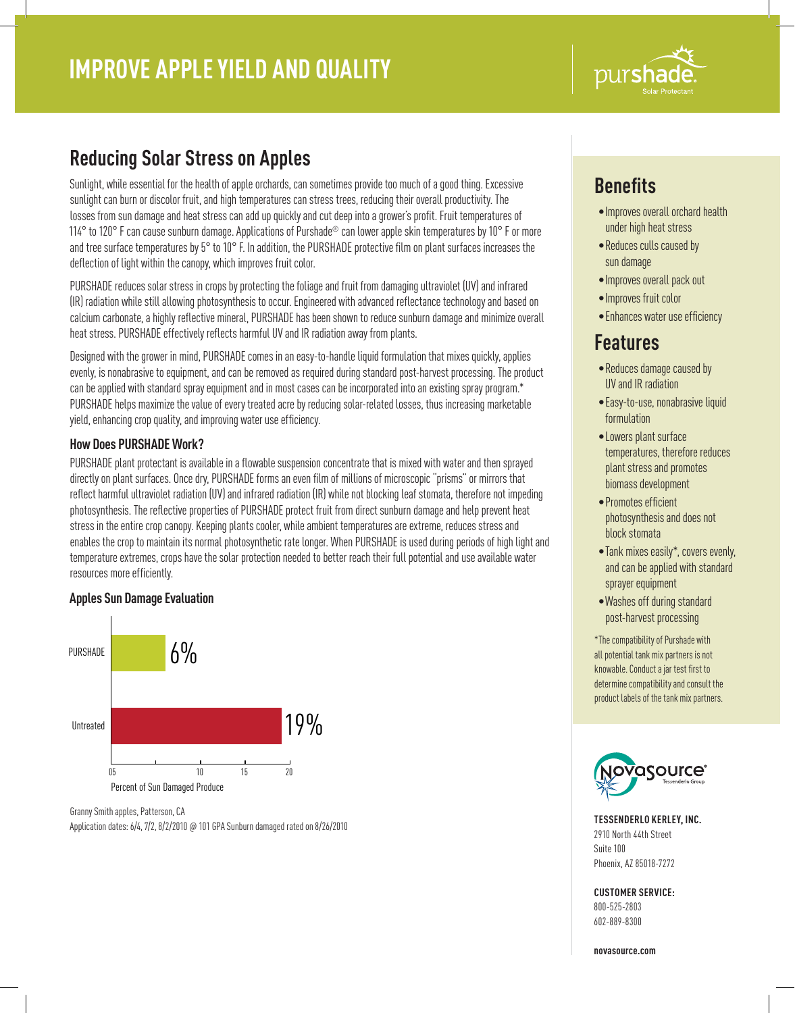

# **Reducing Solar Stress on Apples**

Sunlight, while essential for the health of apple orchards, can sometimes provide too much of a good thing. Excessive sunlight can burn or discolor fruit, and high temperatures can stress trees, reducing their overall productivity. The losses from sun damage and heat stress can add up quickly and cut deep into a grower's profit. Fruit temperatures of 114° to 120° F can cause sunburn damage. Applications of Purshade® can lower apple skin temperatures by 10° F or more and tree surface temperatures by 5° to 10° F. In addition, the PURSHADE protective film on plant surfaces increases the deflection of light within the canopy, which improves fruit color.

PURSHADE reduces solar stress in crops by protecting the foliage and fruit from damaging ultraviolet (UV) and infrared (IR) radiation while still allowing photosynthesis to occur. Engineered with advanced reflectance technology and based on calcium carbonate, a highly reflective mineral, PURSHADE has been shown to reduce sunburn damage and minimize overall heat stress. PURSHADE effectively reflects harmful UV and IR radiation away from plants.

Designed with the grower in mind, PURSHADE comes in an easy-to-handle liquid formulation that mixes quickly, applies evenly, is nonabrasive to equipment, and can be removed as required during standard post-harvest processing. The product can be applied with standard spray equipment and in most cases can be incorporated into an existing spray program.\* PURSHADE helps maximize the value of every treated acre by reducing solar-related losses, thus increasing marketable yield, enhancing crop quality, and improving water use efficiency.

### **How Does PURSHADE Work?**

PURSHADE plant protectant is available in a flowable suspension concentrate that is mixed with water and then sprayed directly on plant surfaces. Once dry, PURSHADE forms an even film of millions of microscopic "prisms" or mirrors that reflect harmful ultraviolet radiation (UV) and infrared radiation (IR) while not blocking leaf stomata, therefore not impeding photosynthesis. The reflective properties of PURSHADE protect fruit from direct sunburn damage and help prevent heat stress in the entire crop canopy. Keeping plants cooler, while ambient temperatures are extreme, reduces stress and enables the crop to maintain its normal photosynthetic rate longer. When PURSHADE is used during periods of high light and temperature extremes, crops have the solar protection needed to better reach their full potential and use available water resources more efficiently.

### **Apples Sun Damage Evaluation**



Granny Smith apples, Patterson, CA Application dates: 6/4, 7/2, 8/2/2010 @ 101 GPA Sunburn damaged rated on 8/26/2010

# **Benefits**

- •Improves overall orchard health under high heat stress
- •Reduces culls caused by sun damage
- •Improves overall pack out
- •Improves fruit color
- •Enhances water use efficiency

### **Features**

- •Reduces damage caused by UV and IR radiation
- •Easy-to-use, nonabrasive liquid formulation
- •Lowers plant surface temperatures, therefore reduces plant stress and promotes biomass development
- •Promotes efficient photosynthesis and does not block stomata
- •Tank mixes easily\*, covers evenly, and can be applied with standard sprayer equipment
- •Washes off during standard post-harvest processing

\*The compatibility of Purshade with all potential tank mix partners is not knowable. Conduct a jar test first to determine compatibility and consult the product labels of the tank mix partners.



**TESSENDERLO KERLEY, INC.** 2910 North 44th Street Suite 100 Phoenix, AZ 85018-7272

### **CUSTOMER SERVICE:**

800-525-2803 602-889-8300

**novasource.com**